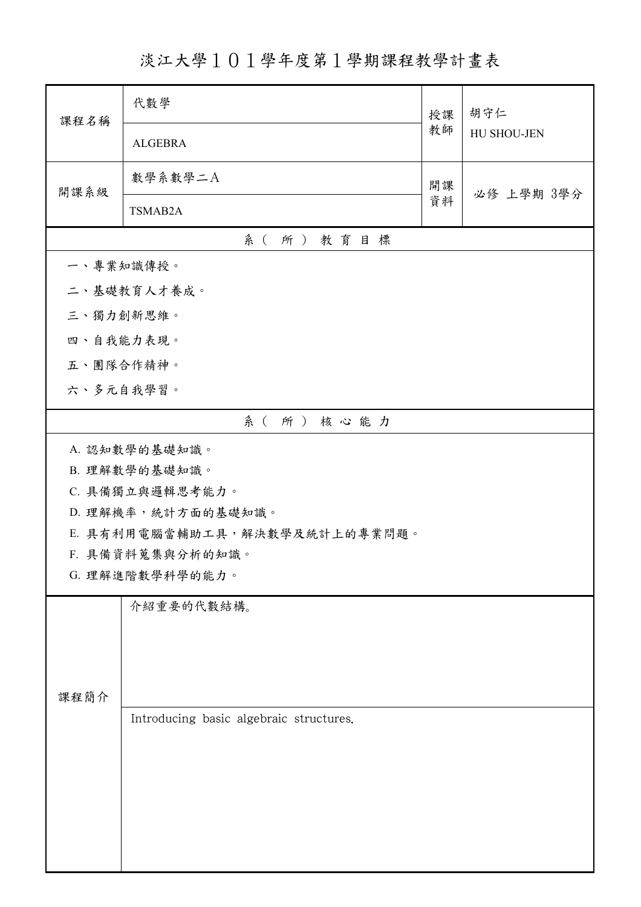淡江大學101學年度第1學期課程教學計畫表

| 課程名稱            | 代數學                                     | 授課               | 胡守仁         |  |  |
|-----------------|-----------------------------------------|------------------|-------------|--|--|
|                 | <b>ALGEBRA</b>                          | 教師               | HU SHOU-JEN |  |  |
| 開課系級            | 數學系數學二A                                 | 開課<br>必修 上學期 3學分 |             |  |  |
|                 | TSMAB2A                                 | 資料               |             |  |  |
| 系(所)教育目標        |                                         |                  |             |  |  |
| 一、專業知識傳授。       |                                         |                  |             |  |  |
|                 | 二、基礎教育人才養成。                             |                  |             |  |  |
| 三、獨力創新思維。       |                                         |                  |             |  |  |
| 四、自我能力表現。       |                                         |                  |             |  |  |
|                 | 五、團隊合作精神。                               |                  |             |  |  |
|                 | 六、多元自我學習。                               |                  |             |  |  |
|                 | 系(所)核心能力                                |                  |             |  |  |
|                 | A. 認知數學的基礎知識。                           |                  |             |  |  |
|                 | B. 理解數學的基礎知識。                           |                  |             |  |  |
| C. 具備獨立與邏輯思考能力。 |                                         |                  |             |  |  |
|                 | D. 理解機率,統計方面的基礎知識。                      |                  |             |  |  |
|                 | E. 具有利用電腦當輔助工具,解決數學及統計上的專業問題。           |                  |             |  |  |
|                 | F. 具備資料蒐集與分析的知識。                        |                  |             |  |  |
| G. 理解進階數學科學的能力。 |                                         |                  |             |  |  |
|                 | 介紹重要的代數結構。                              |                  |             |  |  |
|                 |                                         |                  |             |  |  |
|                 |                                         |                  |             |  |  |
| 課程簡介            |                                         |                  |             |  |  |
|                 | Introducing basic algebraic structures. |                  |             |  |  |
|                 |                                         |                  |             |  |  |
|                 |                                         |                  |             |  |  |
|                 |                                         |                  |             |  |  |
|                 |                                         |                  |             |  |  |
|                 |                                         |                  |             |  |  |
|                 |                                         |                  |             |  |  |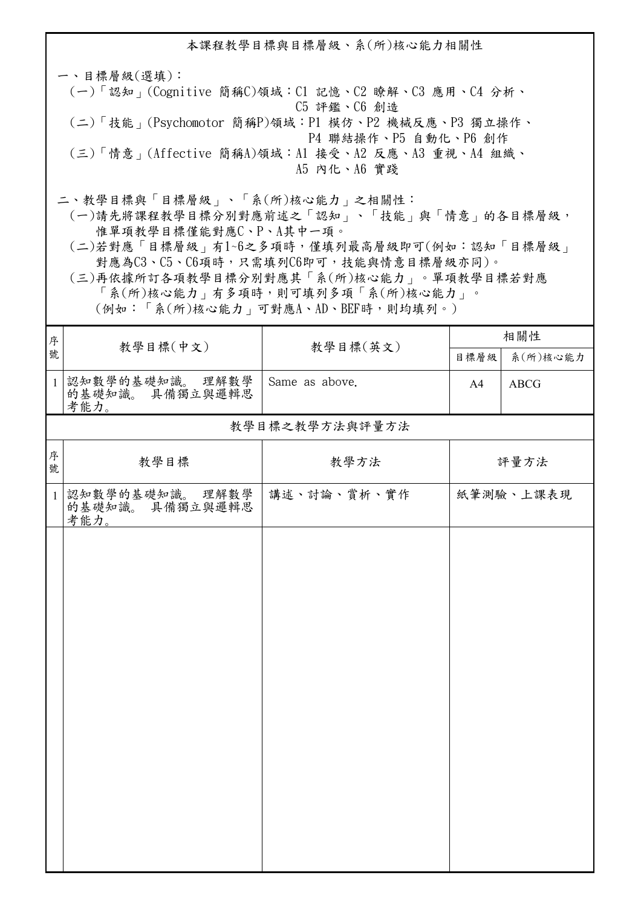本課程教學目標與目標層級、系(所)核心能力相關性 一、目標層級(選填): (一)「認知」(Cognitive 簡稱C)領域:C1 記憶、C2 瞭解、C3 應用、C4 分析、 C5 評鑑、C6 創造 (二)「技能」(Psychomotor 簡稱P)領域:P1 模仿、P2 機械反應、P3 獨立操作、 P4 聯結操作、P5 自動化、P6 創作 (三)「情意」(Affective 簡稱A)領域:A1 接受、A2 反應、A3 重視、A4 組織、 A5 內化、A6 實踐 二、教學目標與「目標層級」、「系(所)核心能力」之相關性:

 (一)請先將課程教學目標分別對應前述之「認知」、「技能」與「情意」的各目標層級, 惟單項教學目標僅能對應C、P、A其中一項。

 (二)若對應「目標層級」有1~6之多項時,僅填列最高層級即可(例如:認知「目標層級」 對應為C3、C5、C6項時,只需填列C6即可,技能與情意目標層級亦同)。

 (三)再依據所訂各項教學目標分別對應其「系(所)核心能力」。單項教學目標若對應 「系(所)核心能力」有多項時,則可填列多項「系(所)核心能力」。

(例如:「系(所)核心能力」可對應A、AD、BEF時,則均填列。)

| 序            | 教學目標(中文)                                   |                | 相關性  |             |  |  |  |
|--------------|--------------------------------------------|----------------|------|-------------|--|--|--|
| 號            |                                            | 教學目標(英文)       | 目標層級 | 系(所)核心能力    |  |  |  |
| $\mathbf{1}$ | 認知數學的基礎知識。 理解數學<br>的基礎知識。 具備獨立與邏輯思<br>考能力。 | Same as above. | A4   | <b>ABCG</b> |  |  |  |
|              | 教學目標之教學方法與評量方法                             |                |      |             |  |  |  |
| 序<br>號       | 教學目標                                       | 教學方法           |      | 評量方法        |  |  |  |
| $\mathbf{1}$ | 認知數學的基礎知識。 理解數學<br>的基礎知識。 具備獨立與邏輯思<br>考能力。 | 講述、討論、賞析、實作    |      | 紙筆測驗、上課表現   |  |  |  |
|              |                                            |                |      |             |  |  |  |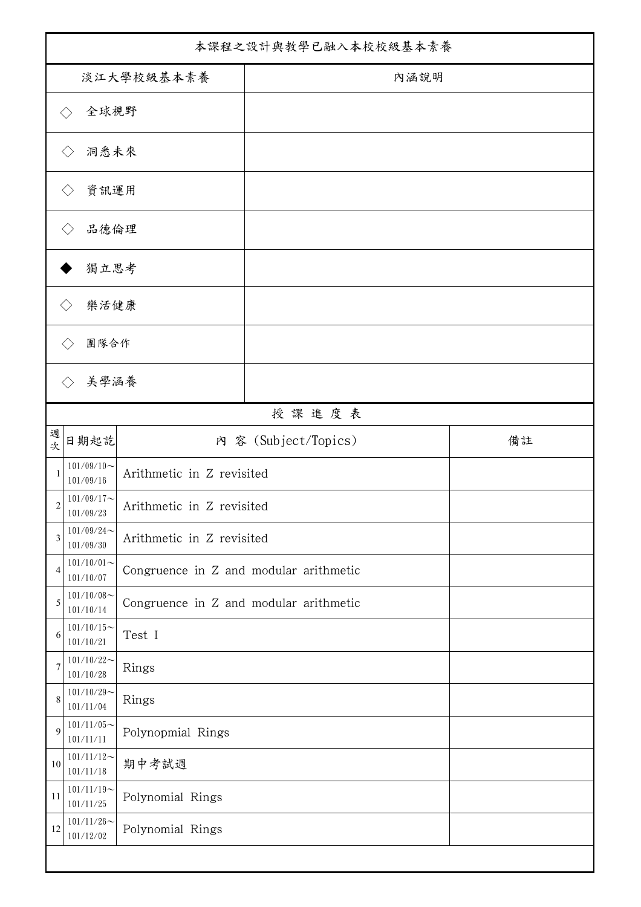| 本課程之設計與教學已融入本校校級基本素養        |                            |                                        |                      |    |  |
|-----------------------------|----------------------------|----------------------------------------|----------------------|----|--|
| 淡江大學校級基本素養                  |                            |                                        | 內涵說明                 |    |  |
| 全球視野<br>$\langle \ \rangle$ |                            |                                        |                      |    |  |
| 洞悉未來<br>$\langle \ \rangle$ |                            |                                        |                      |    |  |
|                             | 資訊運用                       |                                        |                      |    |  |
|                             | 品德倫理                       |                                        |                      |    |  |
|                             | 獨立思考                       |                                        |                      |    |  |
|                             | 樂活健康                       |                                        |                      |    |  |
|                             | 團隊合作                       |                                        |                      |    |  |
|                             | 美學涵養                       |                                        |                      |    |  |
|                             |                            |                                        |                      |    |  |
| 週                           |                            |                                        | 授課進度表                |    |  |
| 次                           | 日期起訖                       |                                        | 内 容 (Subject/Topics) | 備註 |  |
| 1                           | $101/09/10$ ~<br>101/09/16 | Arithmetic in Z revisited              |                      |    |  |
| $\overline{c}$              | $101/09/17$ ~<br>101/09/23 | Arithmetic in Z revisited              |                      |    |  |
| 3                           | $101/09/24$ ~<br>101/09/30 | Arithmetic in Z revisited              |                      |    |  |
| $\overline{4}$              | $101/10/01$ ~<br>101/10/07 | Congruence in Z and modular arithmetic |                      |    |  |
| 5                           | $101/10/08$ ~<br>101/10/14 | Congruence in Z and modular arithmetic |                      |    |  |
| 6                           | $101/10/15$ ~<br>101/10/21 | Test I                                 |                      |    |  |
| 7                           | $101/10/22$ ~<br>101/10/28 | Rings                                  |                      |    |  |
| 8                           | $101/10/29$ ~<br>101/11/04 | Rings                                  |                      |    |  |
| 9                           | $101/11/05$ ~<br>101/11/11 | Polynopmial Rings                      |                      |    |  |
| $10\,$                      | $101/11/12$ ~<br>101/11/18 | 期中考試週                                  |                      |    |  |
| 11                          | $101/11/19$ ~<br>101/11/25 | Polynomial Rings                       |                      |    |  |
| 12                          | $101/11/26$ ~<br>101/12/02 | Polynomial Rings                       |                      |    |  |
|                             |                            |                                        |                      |    |  |